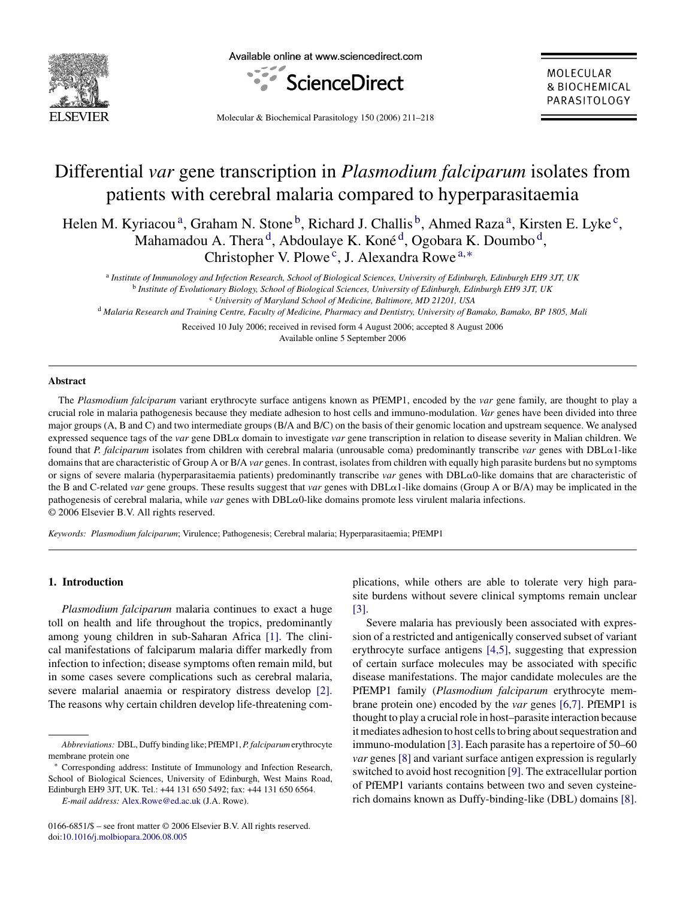

Available online at www.sciencedirect.com



MOLECULAR & BIOCHEMICAL PARASITOLOGY

Molecular & Biochemical Parasitology 150 (2006) 211–218

# Differential *var* gene transcription in *Plasmodium falciparum* isolates from patients with cerebral malaria compared to hyperparasitaemia

Helen M. Kyriacou<sup>a</sup>, Graham N. Stone<sup>b</sup>, Richard J. Challis<sup>b</sup>, Ahmed Raza<sup>a</sup>, Kirsten E. Lyke<sup>c</sup>, Mahamadou A. Thera<sup>d</sup>, Abdoulaye K. Koné<sup>d</sup>, Ogobara K. Doumbo<sup>d</sup>, Christopher V. Plowe<sup>c</sup>, J. Alexandra Rowe<sup>a,\*</sup>

<sup>a</sup> *Institute of Immunology and Infection Research, School of Biological Sciences, University of Edinburgh, Edinburgh EH9 3JT, UK* <sup>b</sup> *Institute of Evolutionary Biology, School of Biological Sciences, University of Edinburgh, Edinburgh EH9 3JT, UK* <sup>c</sup> *University of Maryland School of Medicine, Baltimore, MD 21201, USA*

<sup>d</sup> *Malaria Research and Training Centre, Faculty of Medicine, Pharmacy and Dentistry, University of Bamako, Bamako, BP 1805, Mali*

Received 10 July 2006; received in revised form 4 August 2006; accepted 8 August 2006 Available online 5 September 2006

## **Abstract**

The *Plasmodium falciparum* variant erythrocyte surface antigens known as PfEMP1, encoded by the *var* gene family, are thought to play a crucial role in malaria pathogenesis because they mediate adhesion to host cells and immuno-modulation. *Var* genes have been divided into three major groups (A, B and C) and two intermediate groups (B/A and B/C) on the basis of their genomic location and upstream sequence. We analysed expressed sequence tags of the *var* gene DBL $\alpha$  domain to investigate *var* gene transcription in relation to disease severity in Malian children. We found that *P. falciparum* isolates from children with cerebral malaria (unrousable coma) predominantly transcribe *var* genes with DBL-1-like domains that are characteristic of Group A or B/A *var* genes. In contrast, isolates from children with equally high parasite burdens but no symptoms or signs of severe malaria (hyperparasitaemia patients) predominantly transcribe *var* genes with DBLα0-like domains that are characteristic of the B and C-related *var* gene groups. These results suggest that *var* genes with DBLα1-like domains (Group A or B/A) may be implicated in the pathogenesis of cerebral malaria, while *var* genes with DBLα0-like domains promote less virulent malaria infections. © 2006 Elsevier B.V. All rights reserved.

*Keywords: Plasmodium falciparum*; Virulence; Pathogenesis; Cerebral malaria; Hyperparasitaemia; PfEMP1

## **1. Introduction**

*Plasmodium falciparum* malaria continues to exact a huge toll on health and life throughout the tropics, predominantly among young children in sub-Saharan Africa [\[1\].](#page-6-0) The clinical manifestations of falciparum malaria differ markedly from infection to infection; disease symptoms often remain mild, but in some cases severe complications such as cerebral malaria, severe malarial anaemia or respiratory distress develop [\[2\].](#page-6-0) The reasons why certain children develop life-threatening complications, while others are able to tolerate very high parasite burdens without severe clinical symptoms remain unclear [\[3\].](#page-6-0)

Severe malaria has previously been associated with expression of a restricted and antigenically conserved subset of variant erythrocyte surface antigens [\[4,5\],](#page-6-0) suggesting that expression of certain surface molecules may be associated with specific disease manifestations. The major candidate molecules are the PfEMP1 family (*Plasmodium falciparum* erythrocyte membrane protein one) encoded by the *var* genes [\[6,7\].](#page-6-0) PfEMP1 is thought to play a crucial role in host–parasite interaction because it mediates adhesion to host cells to bring about sequestration and immuno-modulation [\[3\]. E](#page-6-0)ach parasite has a repertoire of 50–60 *var* genes [\[8\]](#page-6-0) and variant surface antigen expression is regularly switched to avoid host recognition [\[9\]. T](#page-7-0)he extracellular portion of PfEMP1 variants contains between two and seven cysteinerich domains known as Duffy-binding-like (DBL) domains [\[8\].](#page-6-0)

*Abbreviations:* DBL, Duffy binding like; PfEMP1,*P. falciparum* erythrocyte membrane protein one

Corresponding address: Institute of Immunology and Infection Research, School of Biological Sciences, University of Edinburgh, West Mains Road, Edinburgh EH9 3JT, UK. Tel.: +44 131 650 5492; fax: +44 131 650 6564.

*E-mail address:* [Alex.Rowe@ed.ac.uk](mailto:Alex.Rowe@ed.ac.uk) (J.A. Rowe).

<sup>0166-6851/\$ –</sup> see front matter © 2006 Elsevier B.V. All rights reserved. doi[:10.1016/j.molbiopara.2006.08.005](dx.doi.org/10.1016/j.molbiopara.2006.08.005)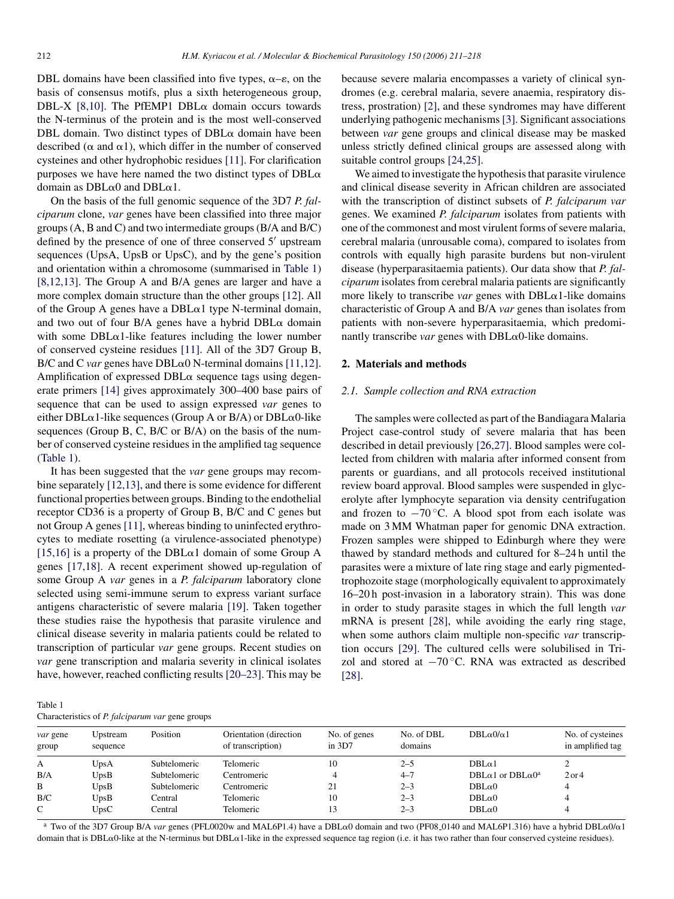DBL domains have been classified into five types,  $\alpha - \varepsilon$ , on the basis of consensus motifs, plus a sixth heterogeneous group, DBL-X [\[8,10\].](#page-6-0) The PfEMP1 DBL $\alpha$  domain occurs towards the N-terminus of the protein and is the most well-conserved DBL domain. Two distinct types of  $DBL\alpha$  domain have been described ( $\alpha$  and  $\alpha$ 1), which differ in the number of conserved cysteines and other hydrophobic residues [\[11\].](#page-7-0) For clarification purposes we have here named the two distinct types of  $DBL\alpha$ domain as  $DBL\alpha0$  and  $DBL\alpha1$ .

On the basis of the full genomic sequence of the 3D7 *P. falciparum* clone, *var* genes have been classified into three major groups (A, B and C) and two intermediate groups (B/A and B/C) defined by the presence of one of three conserved  $5'$  upstream sequences (UpsA, UpsB or UpsC), and by the gene's position and orientation within a chromosome (summarised in Table 1) [\[8,12,13\].](#page-6-0) The Group A and B/A genes are larger and have a more complex domain structure than the other groups [\[12\].](#page-7-0) All of the Group A genes have a  $DBL\alpha1$  type N-terminal domain, and two out of four B/A genes have a hybrid  $DBL\alpha$  domain with some  $DBL\alpha$ 1-like features including the lower number of conserved cysteine residues [\[11\].](#page-7-0) All of the 3D7 Group B,  $B/C$  and C *var* genes have  $DBL\alpha$ <sup>0</sup> N-terminal domains [\[11,12\].](#page-7-0) Amplification of expressed  $DBL\alpha$  sequence tags using degenerate primers [\[14\]](#page-7-0) gives approximately 300–400 base pairs of sequence that can be used to assign expressed *var* genes to either DBL $\alpha$ 1-like sequences (Group A or B/A) or DBL $\alpha$ 0-like sequences (Group B, C, B/C or B/A) on the basis of the number of conserved cysteine residues in the amplified tag sequence (Table 1).

It has been suggested that the *var* gene groups may recombine separately [\[12,13\], a](#page-7-0)nd there is some evidence for different functional properties between groups. Binding to the endothelial receptor CD36 is a property of Group B, B/C and C genes but not Group A genes [\[11\], w](#page-7-0)hereas binding to uninfected erythrocytes to mediate rosetting (a virulence-associated phenotype) [\[15,16\]](#page-7-0) is a property of the DBL $\alpha$ 1 domain of some Group A genes [\[17,18\].](#page-7-0) A recent experiment showed up-regulation of some Group A *var* genes in a *P. falciparum* laboratory clone selected using semi-immune serum to express variant surface antigens characteristic of severe malaria [\[19\].](#page-7-0) Taken together these studies raise the hypothesis that parasite virulence and clinical disease severity in malaria patients could be related to transcription of particular *var* gene groups. Recent studies on *var* gene transcription and malaria severity in clinical isolates have, however, reached conflicting results [\[20–23\]. T](#page-7-0)his may be

because severe malaria encompasses a variety of clinical syndromes (e.g. cerebral malaria, severe anaemia, respiratory distress, prostration) [\[2\],](#page-6-0) and these syndromes may have different underlying pathogenic mechanisms[\[3\]. S](#page-6-0)ignificant associations between *var* gene groups and clinical disease may be masked unless strictly defined clinical groups are assessed along with suitable control groups [\[24,25\].](#page-7-0)

We aimed to investigate the hypothesis that parasite virulence and clinical disease severity in African children are associated with the transcription of distinct subsets of *P. falciparum var* genes. We examined *P. falciparum* isolates from patients with one of the commonest and most virulent forms of severe malaria, cerebral malaria (unrousable coma), compared to isolates from controls with equally high parasite burdens but non-virulent disease (hyperparasitaemia patients). Our data show that *P. falciparum* isolates from cerebral malaria patients are significantly more likely to transcribe *var* genes with  $DBL\alpha$ 1-like domains characteristic of Group A and B/A *var* genes than isolates from patients with non-severe hyperparasitaemia, which predominantly transcribe *var* genes with  $DBL\alpha0$ -like domains.

## **2. Materials and methods**

#### *2.1. Sample collection and RNA extraction*

The samples were collected as part of the Bandiagara Malaria Project case-control study of severe malaria that has been described in detail previously [\[26,27\]. B](#page-7-0)lood samples were collected from children with malaria after informed consent from parents or guardians, and all protocols received institutional review board approval. Blood samples were suspended in glycerolyte after lymphocyte separation via density centrifugation and frozen to  $-70^{\circ}$ C. A blood spot from each isolate was made on 3 MM Whatman paper for genomic DNA extraction. Frozen samples were shipped to Edinburgh where they were thawed by standard methods and cultured for 8–24 h until the parasites were a mixture of late ring stage and early pigmentedtrophozoite stage (morphologically equivalent to approximately 16–20 h post-invasion in a laboratory strain). This was done in order to study parasite stages in which the full length *var* mRNA is present [\[28\],](#page-7-0) while avoiding the early ring stage, when some authors claim multiple non-specific *var* transcription occurs [\[29\].](#page-7-0) The cultured cells were solubilised in Trizol and stored at  $-70$  °C. RNA was extracted as described [\[28\].](#page-7-0)

| Table 1                                                 |  |  |
|---------------------------------------------------------|--|--|
| Characteristics of <i>P. falciparum var</i> gene groups |  |  |

| <i>var</i> gene<br>group | Upstream<br>sequence | Position     | Orientation (direction)<br>of transcription) | No. of genes<br>in $3D7$ | No. of DBL<br>domains | DBL $\alpha$ 0/ $\alpha$ 1                    | No. of cysteines<br>in amplified tag |  |
|--------------------------|----------------------|--------------|----------------------------------------------|--------------------------|-----------------------|-----------------------------------------------|--------------------------------------|--|
| А                        | UpsA                 | Subtelomeric | Telomeric                                    | 10                       | $2 - 5$               | $DBL\alpha1$                                  |                                      |  |
| B/A                      | UpsB                 | Subtelomeric | Centromeric                                  | 4                        | $4 - 7$               | DBL $\alpha$ 1 or DBL $\alpha$ 0 <sup>a</sup> | $2$ or 4                             |  |
| B                        | UpsB                 | Subtelomeric | Centromeric                                  | 21                       | $2 - 3$               | $DBL\alpha0$                                  |                                      |  |
| B/C                      | UpsB                 | Central      | Telomeric                                    | 10                       | $2 - 3$               | $DBL\alpha0$                                  |                                      |  |
| C                        | U <sub>DS</sub> C    | Central      | Telomeric                                    | 13                       | $2 - 3$               | $DBL\alpha0$                                  |                                      |  |

<sup>a</sup> Two of the 3D7 Group B/A *var* genes (PFL0020w and MAL6P1.4) have a DBL $\alpha$ 0 domain and two (PF08<sub>-</sub>0140 and MAL6P1.316) have a hybrid DBL $\alpha$ 0/ $\alpha$ 1 domain that is DBLα0-like at the N-terminus but DBLα1-like in the expressed sequence tag region (i.e. it has two rather than four conserved cysteine residues).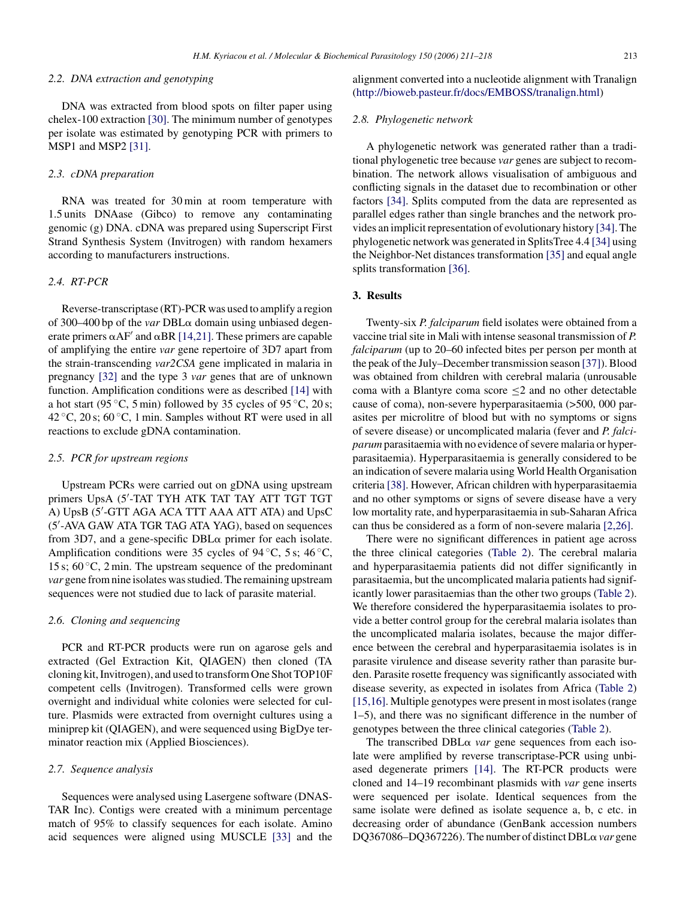#### *2.2. DNA extraction and genotyping*

DNA was extracted from blood spots on filter paper using chelex-100 extraction [\[30\]. T](#page-7-0)he minimum number of genotypes per isolate was estimated by genotyping PCR with primers to MSP1 and MSP2 [\[31\].](#page-7-0)

#### *2.3. cDNA preparation*

RNA was treated for 30 min at room temperature with 1.5 units DNAase (Gibco) to remove any contaminating genomic (g) DNA. cDNA was prepared using Superscript First Strand Synthesis System (Invitrogen) with random hexamers according to manufacturers instructions.

# *2.4. RT-PCR*

Reverse-transcriptase (RT)-PCR was used to amplify a region of 300-400 bp of the *var* DBL $\alpha$  domain using unbiased degenerate primers  $\alpha$ AF' and  $\alpha$ BR [\[14,21\]. T](#page-7-0)hese primers are capable of amplifying the entire *var* gene repertoire of 3D7 apart from the strain-transcending *var2CSA* gene implicated in malaria in pregnancy [\[32\]](#page-7-0) and the type 3 *var* genes that are of unknown function. Amplification conditions were as described [\[14\]](#page-7-0) with a hot start (95 °C, 5 min) followed by 35 cycles of 95 °C, 20 s; 42  $\degree$ C, 20 s; 60  $\degree$ C, 1 min. Samples without RT were used in all reactions to exclude gDNA contamination.

## *2.5. PCR for upstream regions*

Upstream PCRs were carried out on gDNA using upstream primers UpsA (5 -TAT TYH ATK TAT TAY ATT TGT TGT A) UpsB (5 -GTT AGA ACA TTT AAA ATT ATA) and UpsC (5 -AVA GAW ATA TGR TAG ATA YAG), based on sequences from 3D7, and a gene-specific  $DBL\alpha$  primer for each isolate. Amplification conditions were 35 cycles of 94  $°C$ , 5 s; 46 °C, 15 s;  $60^{\circ}$ C, 2 min. The upstream sequence of the predominant *var* gene from nine isolates was studied. The remaining upstream sequences were not studied due to lack of parasite material.

#### *2.6. Cloning and sequencing*

PCR and RT-PCR products were run on agarose gels and extracted (Gel Extraction Kit, QIAGEN) then cloned (TA cloning kit, Invitrogen), and used to transform One Shot TOP10F competent cells (Invitrogen). Transformed cells were grown overnight and individual white colonies were selected for culture. Plasmids were extracted from overnight cultures using a miniprep kit (QIAGEN), and were sequenced using BigDye terminator reaction mix (Applied Biosciences).

## *2.7. Sequence analysis*

Sequences were analysed using Lasergene software (DNAS-TAR Inc). Contigs were created with a minimum percentage match of 95% to classify sequences for each isolate. Amino acid sequences were aligned using MUSCLE [\[33\]](#page-7-0) and the

alignment converted into a nucleotide alignment with Tranalign ([http://bioweb.pasteur.fr/docs/EMBOSS/tranalign.html\)](http://bioweb.pasteur.fr/docs/EMBOSS/tranalign.html)

## *2.8. Phylogenetic network*

A phylogenetic network was generated rather than a traditional phylogenetic tree because *var* genes are subject to recombination. The network allows visualisation of ambiguous and conflicting signals in the dataset due to recombination or other factors [\[34\].](#page-7-0) Splits computed from the data are represented as parallel edges rather than single branches and the network provides an implicit representation of evolutionary history [\[34\]. T](#page-7-0)he phylogenetic network was generated in SplitsTree 4.4 [\[34\]](#page-7-0) using the Neighbor-Net distances transformation [\[35\]](#page-7-0) and equal angle splits transformation [\[36\].](#page-7-0)

#### **3. Results**

Twenty-six *P. falciparum* field isolates were obtained from a vaccine trial site in Mali with intense seasonal transmission of *P. falciparum* (up to 20–60 infected bites per person per month at the peak of the July–December transmission season [\[37\]\).](#page-7-0) Blood was obtained from children with cerebral malaria (unrousable coma with a Blantyre coma score ≤2 and no other detectable cause of coma), non-severe hyperparasitaemia (>500, 000 parasites per microlitre of blood but with no symptoms or signs of severe disease) or uncomplicated malaria (fever and *P. falciparum* parasitaemia with no evidence of severe malaria or hyperparasitaemia). Hyperparasitaemia is generally considered to be an indication of severe malaria using World Health Organisation criteria [\[38\]. H](#page-7-0)owever, African children with hyperparasitaemia and no other symptoms or signs of severe disease have a very low mortality rate, and hyperparasitaemia in sub-Saharan Africa can thus be considered as a form of non-severe malaria [\[2,26\].](#page-6-0)

There were no significant differences in patient age across the three clinical categories ([Table 2\)](#page-3-0). The cerebral malaria and hyperparasitaemia patients did not differ significantly in parasitaemia, but the uncomplicated malaria patients had significantly lower parasitaemias than the other two groups ([Table 2\).](#page-3-0) We therefore considered the hyperparasitaemia isolates to provide a better control group for the cerebral malaria isolates than the uncomplicated malaria isolates, because the major difference between the cerebral and hyperparasitaemia isolates is in parasite virulence and disease severity rather than parasite burden. Parasite rosette frequency was significantly associated with disease severity, as expected in isolates from Africa [\(Table 2\)](#page-3-0) [\[15,16\]. M](#page-7-0)ultiple genotypes were present in most isolates (range 1–5), and there was no significant difference in the number of genotypes between the three clinical categories [\(Table 2\).](#page-3-0)

The transcribed  $DBL\alpha$  *var* gene sequences from each isolate were amplified by reverse transcriptase-PCR using unbiased degenerate primers [\[14\].](#page-7-0) The RT-PCR products were cloned and 14–19 recombinant plasmids with *var* gene inserts were sequenced per isolate. Identical sequences from the same isolate were defined as isolate sequence a, b, c etc. in decreasing order of abundance (GenBank accession numbers DQ367086-DQ367226). The number of distinct DBLa var gene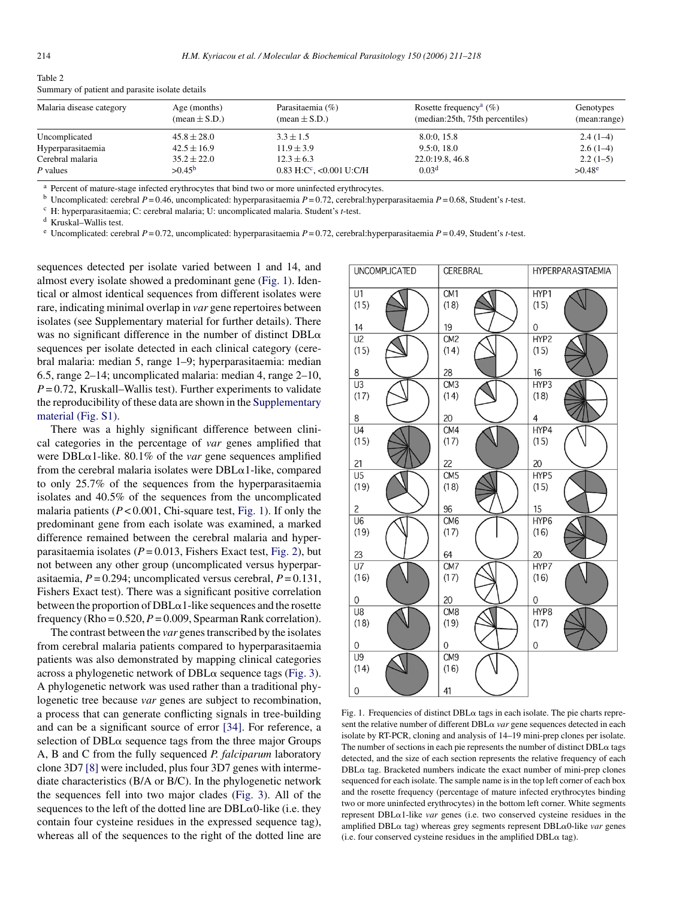| Malaria disease category | Age (months)             | Parasitaemia (%)                       | Rosette frequency <sup>a</sup> $(\% )$ | Genotypes    |
|--------------------------|--------------------------|----------------------------------------|----------------------------------------|--------------|
|                          | $(\text{mean} \pm S.D.)$ | $(\text{mean} \pm S.D.)$               | (median:25th, 75th percentiles)        | (mean:range) |
| Uncomplicated            | $45.8 \pm 28.0$          | $3.3 \pm 1.5$                          | 8.0:0, 15.8                            | $2.4(1-4)$   |
| Hyperparasitaemia        | $42.5 \pm 16.9$          | $11.9 \pm 3.9$                         | 9.5:0.18.0                             | $2.6(1-4)$   |
| Cerebral malaria         | $35.2 \pm 22.0$          | $12.3 \pm 6.3$                         | 22.0:19.8, 46.8                        | $2.2(1-5)$   |
| P values                 | $>0.45^{\rm b}$          | $0.83$ H:C <sup>c</sup> , <0.001 U:C/H | 0.03 <sup>d</sup>                      | $>0.48^e$    |

<span id="page-3-0"></span>Table 2 Summary of patient and parasite isolate details

<sup>a</sup> Percent of mature-stage infected erythrocytes that bind two or more uninfected erythrocytes.

<sup>b</sup> Uncomplicated: cerebral *P* = 0.46, uncomplicated: hyperparasitaemia *P* = 0.72, cerebral:hyperparasitaemia *P* = 0.68, Student's *t*-test.

<sup>c</sup> H: hyperparasitaemia; C: cerebral malaria; U: uncomplicated malaria. Student's *t*-test.

<sup>d</sup> Kruskal–Wallis test.

<sup>e</sup> Uncomplicated: cerebral *P* = 0.72, uncomplicated: hyperparasitaemia *P* = 0.72, cerebral:hyperparasitaemia *P* = 0.49, Student's *t*-test.

sequences detected per isolate varied between 1 and 14, and almost every isolate showed a predominant gene (Fig. 1). Identical or almost identical sequences from different isolates were rare, indicating minimal overlap in *var* gene repertoires between isolates (see Supplementary material for further details). There was no significant difference in the number of distinct  $DBL\alpha$ sequences per isolate detected in each clinical category (cerebral malaria: median 5, range 1–9; hyperparasitaemia: median 6.5, range 2–14; uncomplicated malaria: median 4, range 2–10,  $P = 0.72$ , Kruskall–Wallis test). Further experiments to validate the reproducibility of these data are shown in the [Supplementary](#page-6-0) [material \(Fig. S1\).](#page-6-0)

There was a highly significant difference between clinical categories in the percentage of *var* genes amplified that were  $DBL\alpha$ 1-like. 80.1% of the *var* gene sequences amplified from the cerebral malaria isolates were  $DBL\alpha$ 1-like, compared to only 25.7% of the sequences from the hyperparasitaemia isolates and 40.5% of the sequences from the uncomplicated malaria patients  $(P < 0.001$ , Chi-square test, Fig. 1). If only the predominant gene from each isolate was examined, a marked difference remained between the cerebral malaria and hyperparasitaemia isolates  $(P = 0.013$ , Fishers Exact test, [Fig. 2\),](#page-4-0) but not between any other group (uncomplicated versus hyperparasitaemia, *P* = 0.294; uncomplicated versus cerebral, *P* = 0.131, Fishers Exact test). There was a significant positive correlation between the proportion of  $DBL\alpha 1$ -like sequences and the rosette frequency (Rho =  $0.520$ ,  $P = 0.009$ , Spearman Rank correlation).

The contrast between the *var* genes transcribed by the isolates from cerebral malaria patients compared to hyperparasitaemia patients was also demonstrated by mapping clinical categories across a phylogenetic network of  $DBL\alpha$  sequence tags ([Fig. 3\).](#page-4-0) A phylogenetic network was used rather than a traditional phylogenetic tree because *var* genes are subject to recombination, a process that can generate conflicting signals in tree-building and can be a significant source of error [\[34\].](#page-7-0) For reference, a selection of  $DBL\alpha$  sequence tags from the three major Groups A, B and C from the fully sequenced *P. falciparum* laboratory clone 3D7 [\[8\]](#page-6-0) were included, plus four 3D7 genes with intermediate characteristics (B/A or B/C). In the phylogenetic network the sequences fell into two major clades [\(Fig. 3\)](#page-4-0). All of the sequences to the left of the dotted line are  $DBL\alpha 0$ -like (i.e. they contain four cysteine residues in the expressed sequence tag), whereas all of the sequences to the right of the dotted line are

| <b>UNCOMPLICATED</b>   | CEREBRAL                      | <b>HYPERPARASITAEMIA</b> |  |  |  |  |
|------------------------|-------------------------------|--------------------------|--|--|--|--|
| U1                     | CM <sub>1</sub>               | HYP1                     |  |  |  |  |
| (15)                   | (18)                          | (15)                     |  |  |  |  |
| 14                     | 19                            | 0                        |  |  |  |  |
| U <sub>2</sub>         | CM <sub>2</sub>               | HYP2                     |  |  |  |  |
| (15)                   | (14)                          | (15)                     |  |  |  |  |
| 8                      | 28                            | 16                       |  |  |  |  |
| U3                     | CM <sub>3</sub>               | HYP3                     |  |  |  |  |
| (17)                   | (14)                          | (18)                     |  |  |  |  |
| 8                      | 20                            | $\overline{4}$           |  |  |  |  |
| U4                     | CM4                           | HYP4                     |  |  |  |  |
| (15)                   | (17)                          | (15)                     |  |  |  |  |
| 21                     | 22                            | 20                       |  |  |  |  |
| U <sub>5</sub>         | CM <sub>5</sub>               | HYP <sub>5</sub>         |  |  |  |  |
| (19)                   | (18)                          | (15)                     |  |  |  |  |
| 2                      | 96                            | 15                       |  |  |  |  |
| $\overline{U6}$        | CM <sub>6</sub>               | HYP6                     |  |  |  |  |
| (19)                   | (17)                          | (16)                     |  |  |  |  |
| 23                     | 64                            | 20                       |  |  |  |  |
| U7                     | CM7                           | HYP7                     |  |  |  |  |
| (16)                   | (17)                          | (16)                     |  |  |  |  |
| 0                      | 20                            | 0                        |  |  |  |  |
| U8                     | CM <sub>8</sub>               | HYP8                     |  |  |  |  |
| (18)                   | (19)                          | (17)                     |  |  |  |  |
| 0                      | 0                             | 0                        |  |  |  |  |
| U9<br>(14)<br>$\Omega$ | CM <sub>9</sub><br>(16)<br>41 |                          |  |  |  |  |

Fig. 1. Frequencies of distinct  $DBL\alpha$  tags in each isolate. The pie charts represent the relative number of different DBL $\alpha$  var gene sequences detected in each isolate by RT-PCR, cloning and analysis of 14–19 mini-prep clones per isolate. The number of sections in each pie represents the number of distinct  $DBL\alpha$  tags detected, and the size of each section represents the relative frequency of each DBL $\alpha$  tag. Bracketed numbers indicate the exact number of mini-prep clones sequenced for each isolate. The sample name is in the top left corner of each box and the rosette frequency (percentage of mature infected erythrocytes binding two or more uninfected erythrocytes) in the bottom left corner. White segments represent DBLα1-like *var* genes (i.e. two conserved cysteine residues in the amplified DBLα tag) whereas grey segments represent DBLα0-like *var* genes  $(i.e.$  four conserved cysteine residues in the amplified DBL $\alpha$  tag).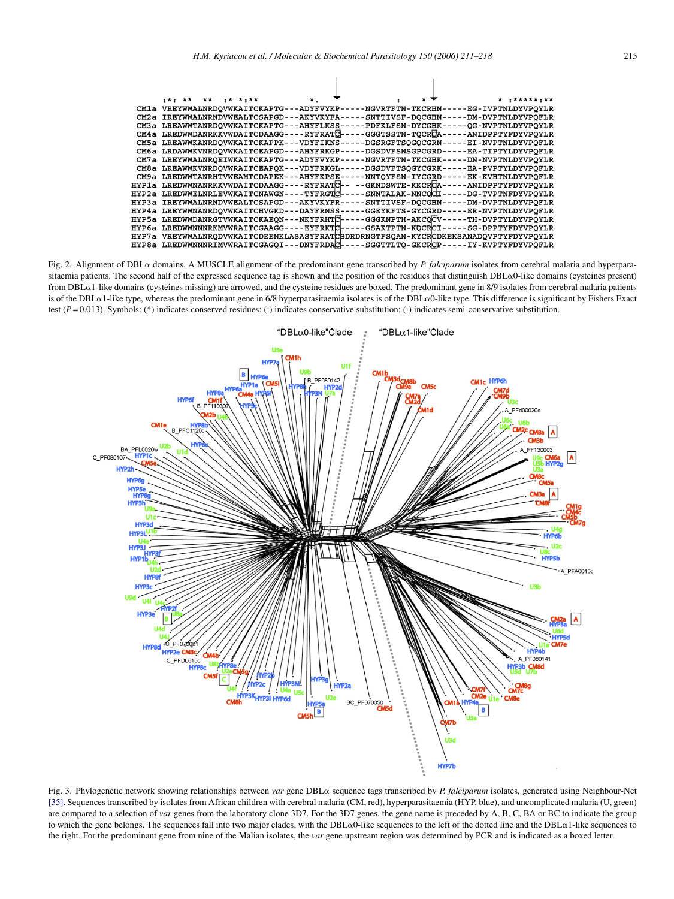<span id="page-4-0"></span>

|                                            |  | *** ** ** ** **** |  |  | $\star$ .                                  |  |                         |  |                                                                               |                           | ********** |  |
|--------------------------------------------|--|-------------------|--|--|--------------------------------------------|--|-------------------------|--|-------------------------------------------------------------------------------|---------------------------|------------|--|
|                                            |  |                   |  |  | CM1a VREYWWALNRDOVWKAITCKAPTG---ADYFVYKP   |  | -NGVRTFTN-TKCRHN-       |  |                                                                               | -EG-IVPTNLDYVPOYLR        |            |  |
| CM2a                                       |  |                   |  |  | IREYWWALNRNDVWEALTCSAPGD---AKYVKYFA-       |  | SNTTIVSF-DOCGHN-        |  |                                                                               | -DM-DVPTNLDYVPOFLR        |            |  |
| СМЗа                                       |  |                   |  |  | LREAWWTANRDOVWKAITCKAPTG---AHYFLKSS-       |  | <b>PDFKLFSN-DYCGHK-</b> |  |                                                                               | -OG-NVPTNLDYVPOYLR        |            |  |
|                                            |  |                   |  |  | CM4a LREDWWDANRKKVWDAITCDAAGG----RYFRATC-- |  | -GGGTSSTN-TOCRCA-       |  |                                                                               | -ANIDPPTYFDYVPOYLR        |            |  |
| СМ5а                                       |  |                   |  |  | LREAWWKANRDOVWKAITCKAPPK - -- VDYFIKNS     |  | DGSRGFTSOGOCGRN         |  |                                                                               | -EI-NVPTNLDYVPQFLR        |            |  |
| СМба                                       |  |                   |  |  | LRDAWWKVNRDOVWKAITCEAPGD---AHYFRKGP-       |  | -DGSDVFSNSGPCGRD-       |  |                                                                               | <b>-EA-TIPTYLDYVPOFLR</b> |            |  |
| CM7a                                       |  |                   |  |  | LREYWWALNROEIWKAITCKAPTG---ADYFVYKP-       |  | -NGVRTFTN-TKCGHK-       |  |                                                                               | -DN-NVPTNLDYVPOYLR        |            |  |
|                                            |  |                   |  |  | CM8a LREAWWKVNRDOVWRAITCEAPOK---VDYFRKGL-  |  | <b>DGSDVFTSOGYCGRK</b>  |  |                                                                               | -EA-PVPTYLDYVPOFLR        |            |  |
| СМ9а                                       |  |                   |  |  | LREDWWTANRHTVWEAMTCDAPEK---AHYFKPSE-       |  | -NNTOYFSN-IYCGRD-       |  |                                                                               | <b>-EK-KVHTNLDYVPOFLR</b> |            |  |
| HYP1a                                      |  |                   |  |  | LREDWWNANRKKVWDAITCDAAGG----RYFRATC--      |  | --GKNDSWTE-KKCRCA----   |  |                                                                               | -ANIDPPTYFDYVPOYLR        |            |  |
| HYP2a                                      |  |                   |  |  | LREDWWELNRLEVWKAITCNAWGN----TYFRGTC-       |  | SNNTALAK-NNCOCI--       |  |                                                                               | -DG-TVPTNFDYVPQYLR        |            |  |
| HYP3a                                      |  |                   |  |  | IREYWWALNRNDVWEALTCSAPGD---AKYVKYFR-       |  | SNTTIVSF-DOCGHN----     |  |                                                                               | -DM-DVPTNLDYVPOFLR        |            |  |
| HYP4a                                      |  |                   |  |  | LREYWWNANRDOVWKAITCHVGKD---DAYFRNSS-       |  | -GGEYKFTS-GYCGRD----    |  |                                                                               | -ER-NVPTNLDYVPOFLR        |            |  |
| HYP5a                                      |  |                   |  |  | LREDWWDANRGTVWKAITCKAEON---NKYFRHTC-       |  | - GGGKNPTH-AKCOCV-      |  |                                                                               | -TH-DVPTYLDYVPOYLR        |            |  |
| HYP6a                                      |  |                   |  |  | LREDWWNNNRKMVWRAITCGAAGG----EYFRKTC-       |  | -GSAKTPTN-KOCRCI----    |  |                                                                               | -SG-DPPTYFDYVPOYLR        |            |  |
| HYP7a                                      |  |                   |  |  |                                            |  |                         |  | VREYWWALNRODVWKAITCDEENKLASASYFRATCSDRDRNGTFSOAN-KYCRCDKEKSANADOVPTYFDYVPOYLR |                           |            |  |
| HYP8a LREDWWNNNRIMVWRAITCGAGQI---DNYFRDAC- |  |                   |  |  |                                            |  | SGGTTLTO-GKCRCP-        |  |                                                                               | IY-KVPTYFDYVPOFLR         |            |  |
|                                            |  |                   |  |  |                                            |  |                         |  |                                                                               |                           |            |  |

Fig. 2. Alignment of DBLα domains. A MUSCLE alignment of the predominant gene transcribed by *P. falciparum* isolates from cerebral malaria and hyperparasitaemia patients. The second half of the expressed sequence tag is shown and the position of the residues that distinguish  $DBL\alpha0$ -like domains (cysteines present) from DBL $\alpha$ 1-like domains (cysteines missing) are arrowed, and the cysteine residues are boxed. The predominant gene in 8/9 isolates from cerebral malaria patients is of the DBL $\alpha$ 1-like type, whereas the predominant gene in 6/8 hyperparasitaemia isolates is of the DBL $\alpha$ 0-like type. This difference is significant by Fishers Exact test (*P* = 0.013). Symbols: (\*) indicates conserved residues; (:) indicates conservative substitution; (·) indicates semi-conservative substitution.



Fig. 3. Phylogenetic network showing relationships between var gene DBL $\alpha$  sequence tags transcribed by *P. falciparum* isolates, generated using Neighbour-Net [\[35\]. S](#page-7-0)equences transcribed by isolates from African children with cerebral malaria (CM, red), hyperparasitaemia (HYP, blue), and uncomplicated malaria (U, green) are compared to a selection of *var* genes from the laboratory clone 3D7. For the 3D7 genes, the gene name is preceded by A, B, C, BA or BC to indicate the group to which the gene belongs. The sequences fall into two major clades, with the DBL $\alpha$ 0-like sequences to the left of the dotted line and the DBL $\alpha$ 1-like sequences to the right. For the predominant gene from nine of the Malian isolates, the *var* gene upstream region was determined by PCR and is indicated as a boxed letter.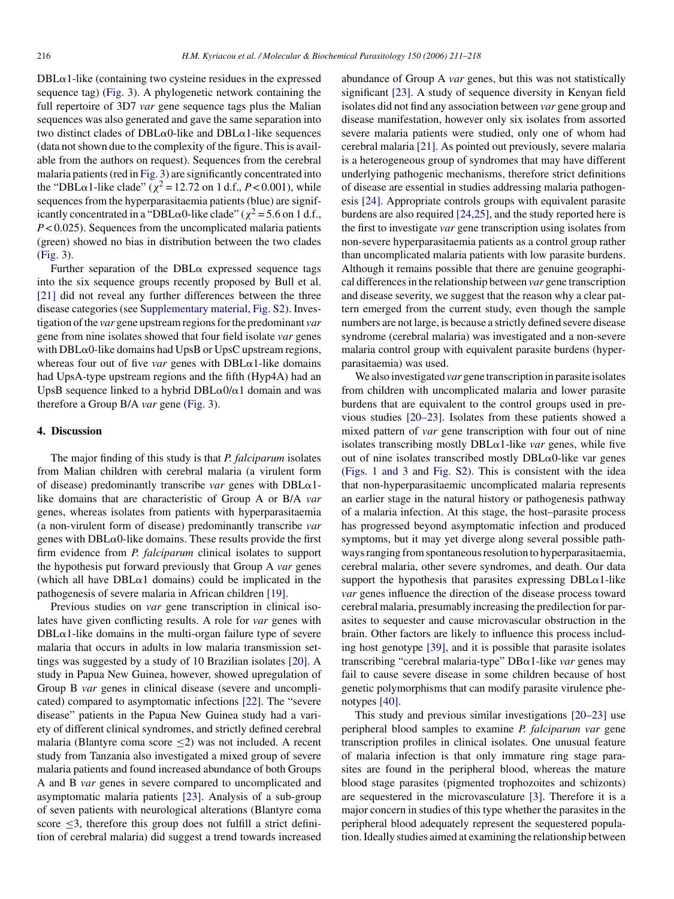$DBL\alpha$ 1-like (containing two cysteine residues in the expressed sequence tag) [\(Fig. 3\).](#page-4-0) A phylogenetic network containing the full repertoire of 3D7 *var* gene sequence tags plus the Malian sequences was also generated and gave the same separation into two distinct clades of  $DBL\alpha0$ -like and  $DBL\alpha1$ -like sequences (data not shown due to the complexity of the figure. This is available from the authors on request). Sequences from the cerebral malaria patients (red in [Fig. 3\) a](#page-4-0)re significantly concentrated into the "DBL $\alpha$ 1-like clade" ( $\chi^2$  = 12.72 on 1 d.f., *P* < 0.001), while sequences from the hyperparasitaemia patients (blue) are significantly concentrated in a "DBL $\alpha$ 0-like clade" ( $\chi^2$  = 5.6 on 1 d.f., *P* < 0.025). Sequences from the uncomplicated malaria patients (green) showed no bias in distribution between the two clades [\(Fig. 3\).](#page-4-0)

Further separation of the  $DBL\alpha$  expressed sequence tags into the six sequence groups recently proposed by Bull et al. [\[21\]](#page-7-0) did not reveal any further differences between the three disease categories (see [Supplementary material, Fig. S2\).](#page-6-0) Investigation of the *var* gene upstream regions for the predominant *var* gene from nine isolates showed that four field isolate *var* genes with  $DBL\alpha0$ -like domains had UpsB or UpsC upstream regions, whereas four out of five *var* genes with  $DBL\alpha$ 1-like domains had UpsA-type upstream regions and the fifth (Hyp4A) had an UpsB sequence linked to a hybrid  $DBL\alpha$ 0/ $\alpha$ 1 domain and was therefore a Group B/A *var* gene ([Fig. 3\).](#page-4-0)

#### **4. Discussion**

The major finding of this study is that *P. falciparum* isolates from Malian children with cerebral malaria (a virulent form of disease) predominantly transcribe *var* genes with  $DBL\alpha1$ like domains that are characteristic of Group A or B/A *var* genes, whereas isolates from patients with hyperparasitaemia (a non-virulent form of disease) predominantly transcribe *var* genes with  $DBL\alpha0$ -like domains. These results provide the first firm evidence from *P. falciparum* clinical isolates to support the hypothesis put forward previously that Group A *var* genes (which all have  $DBL\alpha1$  domains) could be implicated in the pathogenesis of severe malaria in African children [\[19\].](#page-7-0)

Previous studies on *var* gene transcription in clinical isolates have given conflicting results. A role for *var* genes with  $DBL\alpha$ 1-like domains in the multi-organ failure type of severe malaria that occurs in adults in low malaria transmission settings was suggested by a study of 10 Brazilian isolates [\[20\].](#page-7-0) A study in Papua New Guinea, however, showed upregulation of Group B *var* genes in clinical disease (severe and uncomplicated) compared to asymptomatic infections [\[22\]. T](#page-7-0)he "severe disease" patients in the Papua New Guinea study had a variety of different clinical syndromes, and strictly defined cerebral malaria (Blantyre coma score ≤2) was not included. A recent study from Tanzania also investigated a mixed group of severe malaria patients and found increased abundance of both Groups A and B *var* genes in severe compared to uncomplicated and asymptomatic malaria patients [\[23\].](#page-7-0) Analysis of a sub-group of seven patients with neurological alterations (Blantyre coma score <3, therefore this group does not fulfill a strict definition of cerebral malaria) did suggest a trend towards increased abundance of Group A *var* genes, but this was not statistically significant [\[23\].](#page-7-0) A study of sequence diversity in Kenyan field isolates did not find any association between *var* gene group and disease manifestation, however only six isolates from assorted severe malaria patients were studied, only one of whom had cerebral malaria [\[21\]. A](#page-7-0)s pointed out previously, severe malaria is a heterogeneous group of syndromes that may have different underlying pathogenic mechanisms, therefore strict definitions of disease are essential in studies addressing malaria pathogenesis [\[24\].](#page-7-0) Appropriate controls groups with equivalent parasite burdens are also required [\[24,25\], a](#page-7-0)nd the study reported here is the first to investigate *var* gene transcription using isolates from non-severe hyperparasitaemia patients as a control group rather than uncomplicated malaria patients with low parasite burdens. Although it remains possible that there are genuine geographical differences in the relationship between *var* gene transcription and disease severity, we suggest that the reason why a clear pattern emerged from the current study, even though the sample numbers are not large, is because a strictly defined severe disease syndrome (cerebral malaria) was investigated and a non-severe malaria control group with equivalent parasite burdens (hyperparasitaemia) was used.

We also investigated *var* gene transcription in parasite isolates from children with uncomplicated malaria and lower parasite burdens that are equivalent to the control groups used in previous studies [\[20–23\].](#page-7-0) Isolates from these patients showed a mixed pattern of *var* gene transcription with four out of nine isolates transcribing mostly  $DBL\alpha$ 1-like *var* genes, while five out of nine isolates transcribed mostly  $DBL\alpha$ 0-like var genes [\(Figs. 1 and 3](#page-3-0) and [Fig. S2\).](#page-6-0) This is consistent with the idea that non-hyperparasitaemic uncomplicated malaria represents an earlier stage in the natural history or pathogenesis pathway of a malaria infection. At this stage, the host–parasite process has progressed beyond asymptomatic infection and produced symptoms, but it may yet diverge along several possible pathways ranging from spontaneous resolution to hyperparasitaemia, cerebral malaria, other severe syndromes, and death. Our data support the hypothesis that parasites expressing  $DBL\alpha1$ -like *var* genes influence the direction of the disease process toward cerebral malaria, presumably increasing the predilection for parasites to sequester and cause microvascular obstruction in the brain. Other factors are likely to influence this process including host genotype [\[39\],](#page-7-0) and it is possible that parasite isolates transcribing "cerebral malaria-type" DBα1-like *var* genes may fail to cause severe disease in some children because of host genetic polymorphisms that can modify parasite virulence phenotypes [\[40\].](#page-7-0)

This study and previous similar investigations [\[20–23\]](#page-7-0) use peripheral blood samples to examine *P. falciparum var* gene transcription profiles in clinical isolates. One unusual feature of malaria infection is that only immature ring stage parasites are found in the peripheral blood, whereas the mature blood stage parasites (pigmented trophozoites and schizonts) are sequestered in the microvasculature [\[3\].](#page-6-0) Therefore it is a major concern in studies of this type whether the parasites in the peripheral blood adequately represent the sequestered population. Ideally studies aimed at examining the relationship between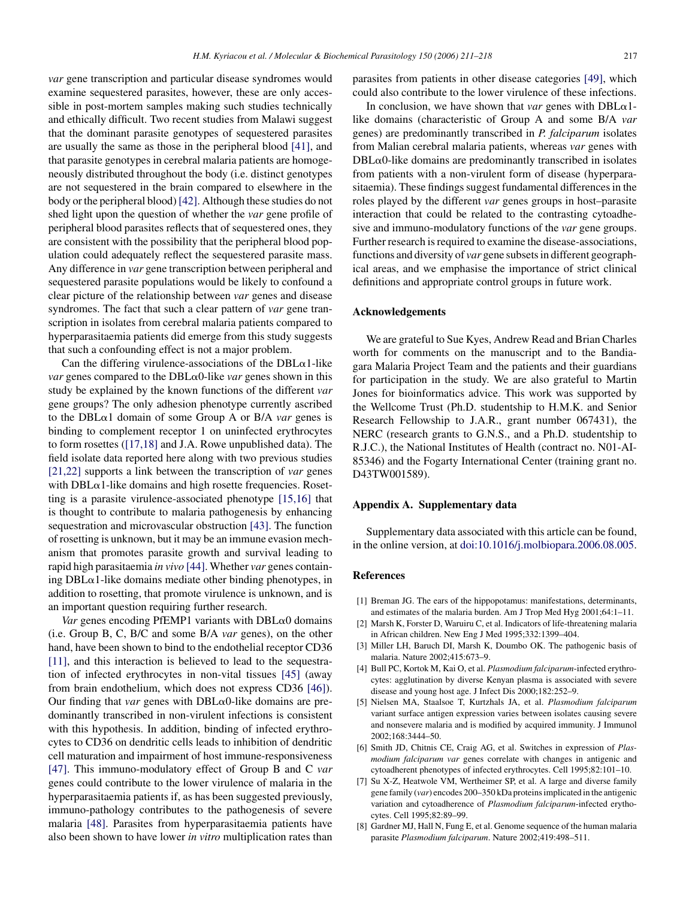<span id="page-6-0"></span>*var* gene transcription and particular disease syndromes would examine sequestered parasites, however, these are only accessible in post-mortem samples making such studies technically and ethically difficult. Two recent studies from Malawi suggest that the dominant parasite genotypes of sequestered parasites are usually the same as those in the peripheral blood [\[41\],](#page-7-0) and that parasite genotypes in cerebral malaria patients are homogeneously distributed throughout the body (i.e. distinct genotypes are not sequestered in the brain compared to elsewhere in the body or the peripheral blood) [\[42\]. A](#page-7-0)lthough these studies do not shed light upon the question of whether the *var* gene profile of peripheral blood parasites reflects that of sequestered ones, they are consistent with the possibility that the peripheral blood population could adequately reflect the sequestered parasite mass. Any difference in *var* gene transcription between peripheral and sequestered parasite populations would be likely to confound a clear picture of the relationship between *var* genes and disease syndromes. The fact that such a clear pattern of *var* gene transcription in isolates from cerebral malaria patients compared to hyperparasitaemia patients did emerge from this study suggests that such a confounding effect is not a major problem.

Can the differing virulence-associations of the  $DBL\alpha1$ -like *var* genes compared to the DBLα0-like *var* genes shown in this study be explained by the known functions of the different *var* gene groups? The only adhesion phenotype currently ascribed to the DBLα1 domain of some Group A or B/A *var* genes is binding to complement receptor 1 on uninfected erythrocytes to form rosettes ([\[17,18\]](#page-7-0) and J.A. Rowe unpublished data). The field isolate data reported here along with two previous studies [\[21,22\]](#page-7-0) supports a link between the transcription of *var* genes with  $DBL\alpha$ 1-like domains and high rosette frequencies. Rosetting is a parasite virulence-associated phenotype [\[15,16\]](#page-7-0) that is thought to contribute to malaria pathogenesis by enhancing sequestration and microvascular obstruction [\[43\].](#page-7-0) The function of rosetting is unknown, but it may be an immune evasion mechanism that promotes parasite growth and survival leading to rapid high parasitaemia *in vivo* [\[44\]. W](#page-7-0)hether *var* genes containing  $DBL\alpha$ 1-like domains mediate other binding phenotypes, in addition to rosetting, that promote virulence is unknown, and is an important question requiring further research.

 $Var$  genes encoding PfEMP1 variants with  $DBL\alpha$ 0 domains (i.e. Group B, C, B/C and some B/A *var* genes), on the other hand, have been shown to bind to the endothelial receptor CD36 [\[11\],](#page-7-0) and this interaction is believed to lead to the sequestration of infected erythrocytes in non-vital tissues [\[45\]](#page-7-0) (away from brain endothelium, which does not express CD36 [\[46\]\).](#page-7-0) Our finding that *var* genes with  $DBL\alpha$ 0-like domains are predominantly transcribed in non-virulent infections is consistent with this hypothesis. In addition, binding of infected erythrocytes to CD36 on dendritic cells leads to inhibition of dendritic cell maturation and impairment of host immune-responsiveness [\[47\].](#page-7-0) This immuno-modulatory effect of Group B and C *var* genes could contribute to the lower virulence of malaria in the hyperparasitaemia patients if, as has been suggested previously, immuno-pathology contributes to the pathogenesis of severe malaria [\[48\].](#page-7-0) Parasites from hyperparasitaemia patients have also been shown to have lower *in vitro* multiplication rates than

parasites from patients in other disease categories [\[49\],](#page-7-0) which could also contribute to the lower virulence of these infections.

In conclusion, we have shown that *var* genes with  $DBL\alpha1$ like domains (characteristic of Group A and some B/A *var* genes) are predominantly transcribed in *P. falciparum* isolates from Malian cerebral malaria patients, whereas *var* genes with  $DBL<sub>\alpha</sub>0$ -like domains are predominantly transcribed in isolates from patients with a non-virulent form of disease (hyperparasitaemia). These findings suggest fundamental differences in the roles played by the different *var* genes groups in host–parasite interaction that could be related to the contrasting cytoadhesive and immuno-modulatory functions of the *var* gene groups. Further research is required to examine the disease-associations, functions and diversity of *var* gene subsets in different geographical areas, and we emphasise the importance of strict clinical definitions and appropriate control groups in future work.

## **Acknowledgements**

We are grateful to Sue Kyes, Andrew Read and Brian Charles worth for comments on the manuscript and to the Bandiagara Malaria Project Team and the patients and their guardians for participation in the study. We are also grateful to Martin Jones for bioinformatics advice. This work was supported by the Wellcome Trust (Ph.D. studentship to H.M.K. and Senior Research Fellowship to J.A.R., grant number 067431), the NERC (research grants to G.N.S., and a Ph.D. studentship to R.J.C.), the National Institutes of Health (contract no. N01-AI-85346) and the Fogarty International Center (training grant no. D43TW001589).

### **Appendix A. Supplementary data**

Supplementary data associated with this article can be found, in the online version, at [doi:10.1016/j.molbiopara.2006.08.005](http://dx.doi.org/10.1016/j.molbiopara.2006.08.005).

#### **References**

- [1] Breman JG. The ears of the hippopotamus: manifestations, determinants, and estimates of the malaria burden. Am J Trop Med Hyg 2001;64:1–11.
- [2] Marsh K, Forster D, Waruiru C, et al. Indicators of life-threatening malaria in African children. New Eng J Med 1995;332:1399–404.
- [3] Miller LH, Baruch DI, Marsh K, Doumbo OK. The pathogenic basis of malaria. Nature 2002;415:673–9.
- [4] Bull PC, Kortok M, Kai O, et al. *Plasmodium falciparum*-infected erythrocytes: agglutination by diverse Kenyan plasma is associated with severe disease and young host age. J Infect Dis 2000;182:252–9.
- [5] Nielsen MA, Staalsoe T, Kurtzhals JA, et al. *Plasmodium falciparum* variant surface antigen expression varies between isolates causing severe and nonsevere malaria and is modified by acquired immunity. J Immunol 2002;168:3444–50.
- [6] Smith JD, Chitnis CE, Craig AG, et al. Switches in expression of *Plasmodium falciparum var* genes correlate with changes in antigenic and cytoadherent phenotypes of infected erythrocytes. Cell 1995;82:101–10.
- [7] Su X-Z, Heatwole VM, Wertheimer SP, et al. A large and diverse family gene family (*var*) encodes 200–350 kDa proteins implicated in the antigenic variation and cytoadherence of *Plasmodium falciparum*-infected erythocytes. Cell 1995;82:89–99.
- [8] Gardner MJ, Hall N, Fung E, et al. Genome sequence of the human malaria parasite *Plasmodium falciparum*. Nature 2002;419:498–511.